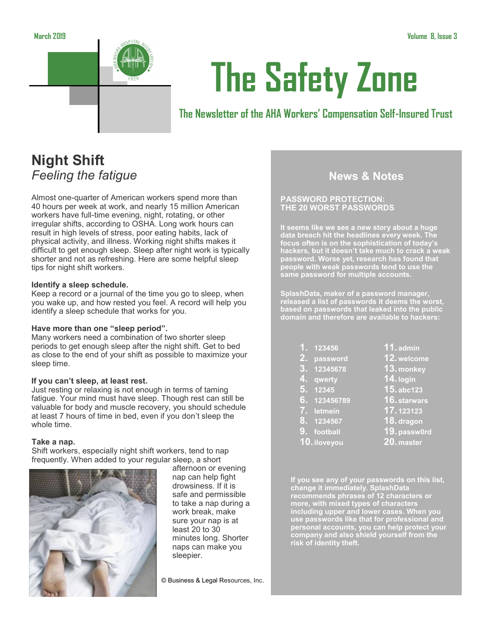



# **The Safety Zone**

## **The Newsletter of the AHA Workers' Compensation Self-Insured Trust**

# **Night Shift** *Feeling the fatigue*

Almost one-quarter of American workers spend more than 40 hours per week at work, and nearly 15 million American workers have full-time evening, night, rotating, or other irregular shifts, according to OSHA. Long work hours can result in high levels of stress, poor eating habits, lack of physical activity, and illness. Working night shifts makes it difficult to get enough sleep. Sleep after night work is typically shorter and not as refreshing. Here are some helpful sleep tips for night shift workers.

#### **Identify a sleep schedule.**

Keep a record or a journal of the time you go to sleep, when you wake up, and how rested you feel. A record will help you identify a sleep schedule that works for you.

#### **Have more than one "sleep period".**

Many workers need a combination of two shorter sleep periods to get enough sleep after the night shift. Get to bed as close to the end of your shift as possible to maximize your sleep time.

#### **If you can't sleep, at least rest.**

Just resting or relaxing is not enough in terms of taming fatigue. Your mind must have sleep. Though rest can still be valuable for body and muscle recovery, you should schedule at least 7 hours of time in bed, even if you don't sleep the whole time.

#### **Take a nap.**

Shift workers, especially night shift workers, tend to nap frequently. When added to your regular sleep, a short



afternoon or evening nap can help fight drowsiness. If it is safe and permissible to take a nap during a work break, make sure your nap is at least 20 to 30 minutes long. Shorter naps can make you sleepier.

© Business & Legal Resources, Inc.

## **News & Notes**

#### **PASSWORD PROTECTION: THE 20 WORST PASSWORDS**

**It seems like we see a new story about a huge data breach hit the headlines every week. The focus often is on the sophistication of today's hackers, but it doesn't take much to crack a weak password. Worse yet, research has found that people with weak passwords tend to use the same password for multiple accounts.**

**SplashData, maker of a password manager, released a list of passwords it deems the worst, based on passwords that leaked into the public domain and therefore are available to hackers:**

| <u>1.</u> 123456    |
|---------------------|
| 2. password         |
| <u>3. 12345678</u>  |
| 4. qwerty           |
| 5. 12345            |
| <u>6. 123456789</u> |
| 7. letmein          |
| <u>8. 1234567</u>   |

**9. football 10.iloveyou**

- **11. admin**
- **12.welcome**
- **13. monkey**
- **14.login**
- **15. abc123**
- **16. starwars**
- **17. 123123**
- **18.dragon**
- - **19.passw0rd**
- **20. master**

**If you see any of your passwords on this list, change it immediately. SplashData recommends phrases of 12 characters or more, with mixed types of characters including upper and lower cases. When you use passwords like that for professional and personal accounts, you can help protect your company and also shield yourself from the risk of identity theft.**